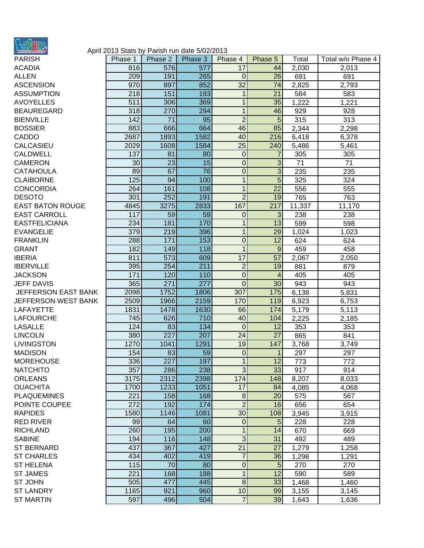

## April 2013 Stats by Parish run date 5/02/2013

| PARISH                  |
|-------------------------|
| <b>ACADIA</b>           |
| <b>ALLEN</b>            |
| <b>ASCENSION</b>        |
| <b>ASSUMPTION</b>       |
| <b>AVOYELLES</b>        |
|                         |
| <b>BEAUREGARD</b>       |
| <b>BIENVILLE</b>        |
| <b>BOSSIER</b>          |
| CADDO                   |
| CALCASIEU               |
| <b>CALDWELL</b>         |
| <b>CAMERON</b>          |
|                         |
| <b>CATAHOULA</b>        |
| <b>CLAIBORNE</b>        |
| <b>CONCORDIA</b>        |
| <b>DESOTO</b>           |
| <b>EAST BATON ROUGE</b> |
| <b>EAST CARROLL</b>     |
| <b>EASTFELICIANA</b>    |
| <b>EVANGELIE</b>        |
|                         |
| <b>FRANKLIN</b>         |
| <b>GRANT</b>            |
| <b>IBERIA</b>           |
| <b>IBERVILLE</b>        |
| <b>JACKSON</b>          |
| <b>JEFF DAVIS</b>       |
| JEFFERSON EAST BANK     |
| JEFFERSON WEST BANK     |
|                         |
| <b>LAFAYETTE</b>        |
| <b>LAFOURCHE</b>        |
| <b>LASALLE</b>          |
| <b>LINCOLN</b>          |
| <b>LIVINGSTON</b>       |
| <b>MADISON</b>          |
| <b>MOREHOUSE</b>        |
| <b>NATCHITO</b>         |
|                         |
| <b>ORLEANS</b>          |
| <b>OUACHITA</b>         |
| <b>PLAQUEMINES</b>      |
| POINTE COUPEE           |
| <b>RAPIDES</b>          |
| RED RIVER               |
| <b>RICHLAND</b>         |
| <b>SABINE</b>           |
|                         |
| <b>ST BERNARD</b>       |
| <b>ST CHARLES</b>       |
| <b>ST HELENA</b>        |
| ST JAMES                |
| ST JOHN                 |
| <b>ST LANDRY</b>        |
| <b>ST MARTIN</b>        |
|                         |
|                         |

| PARISH                  | Phase 1 | Phase 2 | Phase 3 | Phase 4          | Phase 5 | Total  | Total w/o Phase 4 |
|-------------------------|---------|---------|---------|------------------|---------|--------|-------------------|
| <b>ACADIA</b>           | 816     | 576     | 577     | 17               | 44      | 2,030  | 2,013             |
| <b>ALLEN</b>            | 209     | 191     | 265     | $\overline{0}$   | 26      | 691    | 691               |
| <b>ASCENSION</b>        | 970     | 897     | 852     | 32               | 74      | 2,825  | 2,793             |
| <b>ASSUMPTION</b>       | 218     | 151     | 193     | 1                | 21      | 584    | 583               |
| <b>AVOYELLES</b>        | 511     | 306     | 369     | $\mathbf{1}$     | 35      | 1,222  | 1,221             |
| <b>BEAUREGARD</b>       | 318     | 270     | 294     | $\mathbf{1}$     | 46      | 929    | 928               |
| <b>BIENVILLE</b>        | 142     | 71      | 95      | $\overline{2}$   | 5       | 315    | 313               |
| <b>BOSSIER</b>          | 883     | 666     | 664     | 46               | 85      | 2,344  | 2,298             |
| CADDO                   | 2687    | 1893    | 1582    | 40               | 216     | 6,418  | 6,378             |
| <b>CALCASIEU</b>        | 2029    | 1608    | 1584    | 25               | 240     | 5,486  | 5,461             |
| <b>CALDWELL</b>         | 137     | 81      | 80      | $\boldsymbol{0}$ | 7       | 305    | 305               |
| CAMERON                 | 30      | 23      | 15      | $\overline{0}$   | 3       | 71     | 71                |
| CATAHOULA               | 89      | 67      | 76      | $\overline{0}$   | 3       | 235    | 235               |
| <b>CLAIBORNE</b>        | 125     | 94      | 100     | $\mathbf{1}$     | 5       | 325    | 324               |
| <b>CONCORDIA</b>        | 264     | 161     | 108     | $\mathbf{1}$     | 22      | 556    | 555               |
| <b>DESOTO</b>           | 301     | 252     | 191     | $\overline{2}$   | 19      | 765    | 763               |
| <b>EAST BATON ROUGE</b> | 4845    | 3275    | 2833    | 167              | 217     | 11,337 | 11,170            |
| <b>EAST CARROLL</b>     | 117     | 59      | 59      | 0                | 3       | 238    | 238               |
| <b>EASTFELICIANA</b>    | 234     | 181     | 170     | $\mathbf{1}$     | 13      | 599    | 598               |
| EVANGELIE               | 379     | 219     | 396     | $\mathbf{1}$     | 29      | 1,024  | 1,023             |
| <b>FRANKLIN</b>         | 288     | 171     | 153     | $\overline{0}$   | 12      | 624    | 624               |
| <b>GRANT</b>            | 182     | 149     | 118     | 1                | 9       | 459    | 458               |
| <b>IBERIA</b>           | 811     | 573     | 609     | 17               | 57      | 2,067  | 2,050             |
| <b>IBERVILLE</b>        | 395     | 254     | 211     | $\overline{c}$   | 19      | 881    | 879               |
| <b>JACKSON</b>          | 171     | 120     | 110     | $\overline{0}$   | 4       | 405    | 405               |
| <b>JEFF DAVIS</b>       | 365     | 271     | 277     | $\Omega$         | 30      | 943    | 943               |
| JEFFERSON EAST BANK     | 2098    | 1752    | 1806    | 307              | 175     | 6,138  | 5,831             |
| JEFFERSON WEST BANK     | 2509    | 1966    | 2159    | 170              | 119     | 6,923  | 6,753             |
| LAFAYETTE               | 1831    | 1478    | 1630    | 66               | 174     | 5,179  | 5,113             |
| <b>LAFOURCHE</b>        | 745     | 626     | 710     | 40               | 104     | 2,225  | 2,185             |
| <b>LASALLE</b>          | 124     | 83      | 134     | $\mathbf 0$      | 12      | 353    | 353               |
| <b>LINCOLN</b>          | 380     | 227     | 207     | 24               | 27      | 865    | 841               |
| <b>LIVINGSTON</b>       | 1270    | 1041    | 1291    | 19               | 147     | 3,768  | 3,749             |
| MADISON                 | 154     | 83      | 59      | $\overline{0}$   | 1       | 297    | 297               |
| <b>MOREHOUSE</b>        | 336     | 227     | 197     | $\mathbf{1}$     | 12      | 773    | 772               |
| NATCHITO                | 357     | 286     | 238     | 3                | 33      | 917    | 914               |
| <b>ORLEANS</b>          | 3175    | 2312    | 2398    | 174              | 148     | 8,207  | 8,033             |
| <b>OUACHITA</b>         | 1700    | 1233    | 1051    | 17               | 84      | 4,085  | 4,068             |
| <b>PLAQUEMINES</b>      | 221     | 158     | 168     | $\bf 8$          | 20      | 575    | 567               |
| POINTE COUPEE           | 272     | 192     | 174     | $\overline{2}$   | 16      | 656    | 654               |
| <b>RAPIDES</b>          | 1580    | 1146    | 1081    | 30               | 108     | 3,945  | 3,915             |
| <b>RED RIVER</b>        | 99      | 64      | 60      | $\mathbf 0$      | 5       | 228    | 228               |
| <b>RICHLAND</b>         | 260     | 195     | 200     | 1                | 14      | 670    | 669               |
| <b>SABINE</b>           | 194     | 116     | 148     | 3                | 31      | 492    | 489               |
| <b>ST BERNARD</b>       | 437     | 367     | 427     | 21               | 27      | 1,279  | 1,258             |
| <b>ST CHARLES</b>       | 434     | 402     | 419     | $\overline{7}$   | 36      | 1,298  | 1,291             |
| <b>ST HELENA</b>        | 115     | 70      | 80      | 0                | 5       | 270    | 270               |
| ST JAMES                | 221     | 168     | 188     | $\mathbf{1}$     | 12      | 590    | 589               |
| ST JOHN                 | 505     | 477     | 445     | $\bf 8$          | 33      | 1,468  | 1,460             |
| <b>ST LANDRY</b>        | 1165    | 921     | 960     | 10               | 99      | 3,155  | 3,145             |
| <b>ST MARTIN</b>        | 597     | 496     | 504     | $\overline{7}$   | 39      | 1,643  | 1,636             |